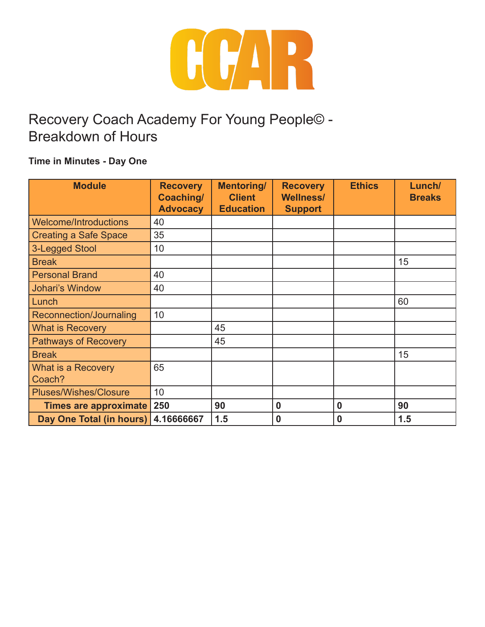

#### **Time in Minutes - Day One**

| <b>Module</b>                | <b>Recovery</b><br>Coaching/<br><b>Advocacy</b> | <b>Mentoring/</b><br><b>Client</b><br><b>Education</b> | <b>Recovery</b><br><b>Wellness/</b><br><b>Support</b> | <b>Ethics</b> | Lunch/<br><b>Breaks</b> |
|------------------------------|-------------------------------------------------|--------------------------------------------------------|-------------------------------------------------------|---------------|-------------------------|
| <b>Welcome/Introductions</b> | 40                                              |                                                        |                                                       |               |                         |
| <b>Creating a Safe Space</b> | 35                                              |                                                        |                                                       |               |                         |
| 3-Legged Stool               | 10                                              |                                                        |                                                       |               |                         |
| <b>Break</b>                 |                                                 |                                                        |                                                       |               | 15                      |
| <b>Personal Brand</b>        | 40                                              |                                                        |                                                       |               |                         |
| <b>Johari's Window</b>       | 40                                              |                                                        |                                                       |               |                         |
| Lunch                        |                                                 |                                                        |                                                       |               | 60                      |
| Reconnection/Journaling      | 10                                              |                                                        |                                                       |               |                         |
| <b>What is Recovery</b>      |                                                 | 45                                                     |                                                       |               |                         |
| <b>Pathways of Recovery</b>  |                                                 | 45                                                     |                                                       |               |                         |
| <b>Break</b>                 |                                                 |                                                        |                                                       |               | 15                      |
| What is a Recovery<br>Coach? | 65                                              |                                                        |                                                       |               |                         |
| <b>Pluses/Wishes/Closure</b> | 10                                              |                                                        |                                                       |               |                         |
| Times are approximate        | 250                                             | 90                                                     | $\bf{0}$                                              | $\bf{0}$      | 90                      |
| Day One Total (in hours)     | 4.16666667                                      | 1.5                                                    | $\bf{0}$                                              | 0             | 1.5                     |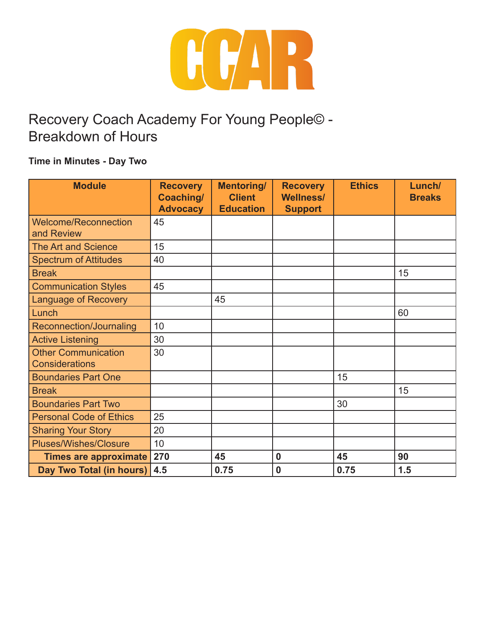

#### **Time in Minutes - Day Two**

| <b>Module</b>                  | <b>Recovery</b><br>Coaching/ | <b>Mentoring/</b><br><b>Client</b> | <b>Recovery</b><br><b>Wellness/</b> | <b>Ethics</b> | Lunch/<br><b>Breaks</b> |
|--------------------------------|------------------------------|------------------------------------|-------------------------------------|---------------|-------------------------|
|                                | <b>Advocacy</b>              | <b>Education</b>                   | <b>Support</b>                      |               |                         |
| <b>Welcome/Reconnection</b>    | 45                           |                                    |                                     |               |                         |
| and Review                     |                              |                                    |                                     |               |                         |
| <b>The Art and Science</b>     | 15                           |                                    |                                     |               |                         |
| <b>Spectrum of Attitudes</b>   | 40                           |                                    |                                     |               |                         |
| <b>Break</b>                   |                              |                                    |                                     |               | 15                      |
| <b>Communication Styles</b>    | 45                           |                                    |                                     |               |                         |
| <b>Language of Recovery</b>    |                              | 45                                 |                                     |               |                         |
| Lunch                          |                              |                                    |                                     |               | 60                      |
| Reconnection/Journaling        | 10                           |                                    |                                     |               |                         |
| <b>Active Listening</b>        | 30                           |                                    |                                     |               |                         |
| <b>Other Communication</b>     | 30                           |                                    |                                     |               |                         |
| <b>Considerations</b>          |                              |                                    |                                     |               |                         |
| <b>Boundaries Part One</b>     |                              |                                    |                                     | 15            |                         |
| <b>Break</b>                   |                              |                                    |                                     |               | 15                      |
| <b>Boundaries Part Two</b>     |                              |                                    |                                     | 30            |                         |
| <b>Personal Code of Ethics</b> | 25                           |                                    |                                     |               |                         |
| <b>Sharing Your Story</b>      | 20                           |                                    |                                     |               |                         |
| <b>Pluses/Wishes/Closure</b>   | 10                           |                                    |                                     |               |                         |
| <b>Times are approximate</b>   | 270                          | 45                                 | $\mathbf 0$                         | 45            | 90                      |
| Day Two Total (in hours)       | 4.5                          | 0.75                               | $\bf{0}$                            | 0.75          | 1.5                     |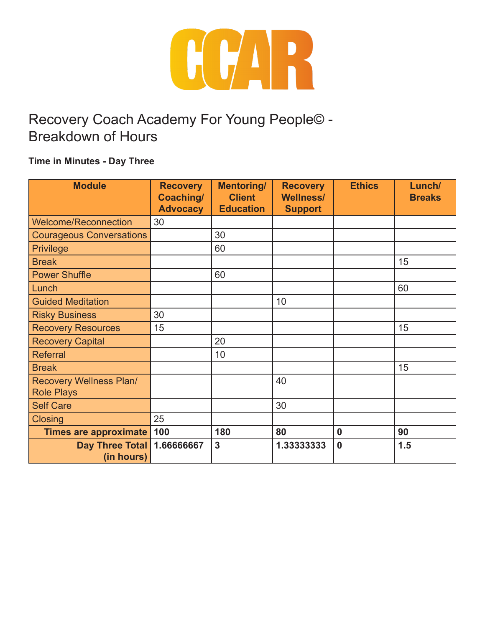

#### **Time in Minutes - Day Three**

| <b>Module</b>                                       | <b>Recovery</b><br>Coaching/ | <b>Mentoring/</b><br><b>Client</b> | <b>Recovery</b><br><b>Wellness/</b> | <b>Ethics</b>    | Lunch/<br><b>Breaks</b> |
|-----------------------------------------------------|------------------------------|------------------------------------|-------------------------------------|------------------|-------------------------|
|                                                     | <b>Advocacy</b>              | <b>Education</b>                   | <b>Support</b>                      |                  |                         |
| <b>Welcome/Reconnection</b>                         | 30                           |                                    |                                     |                  |                         |
| <b>Courageous Conversations</b>                     |                              | 30                                 |                                     |                  |                         |
| <b>Privilege</b>                                    |                              | 60                                 |                                     |                  |                         |
| <b>Break</b>                                        |                              |                                    |                                     |                  | 15                      |
| <b>Power Shuffle</b>                                |                              | 60                                 |                                     |                  |                         |
| Lunch                                               |                              |                                    |                                     |                  | 60                      |
| <b>Guided Meditation</b>                            |                              |                                    | 10                                  |                  |                         |
| <b>Risky Business</b>                               | 30                           |                                    |                                     |                  |                         |
| <b>Recovery Resources</b>                           | 15                           |                                    |                                     |                  | 15                      |
| <b>Recovery Capital</b>                             |                              | 20                                 |                                     |                  |                         |
| Referral                                            |                              | 10 <sup>°</sup>                    |                                     |                  |                         |
| <b>Break</b>                                        |                              |                                    |                                     |                  | 15                      |
| <b>Recovery Wellness Plan/</b><br><b>Role Plays</b> |                              |                                    | 40                                  |                  |                         |
| <b>Self Care</b>                                    |                              |                                    | 30                                  |                  |                         |
| <b>Closing</b>                                      | 25                           |                                    |                                     |                  |                         |
| Times are approximate 100                           |                              | 180                                | 80                                  | $\boldsymbol{0}$ | 90                      |
| Day Three Total<br>(in hours)                       | 1.66666667                   | 3                                  | 1.33333333                          | $\mathbf 0$      | 1.5                     |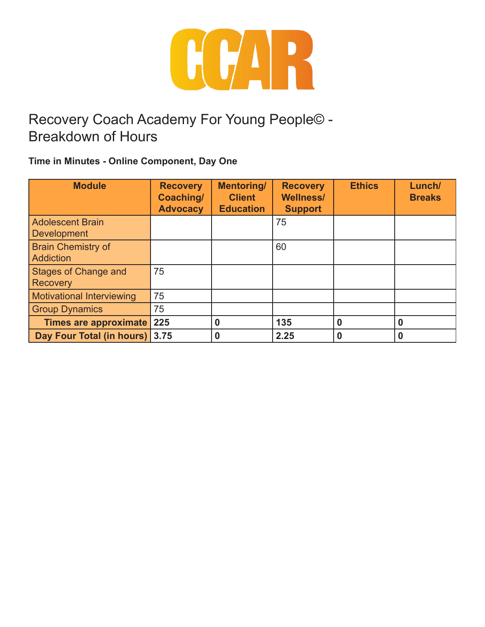

**Time in Minutes - Online Component, Day One**

| <b>Module</b>                    | <b>Recovery</b><br>Coaching/<br><b>Advocacy</b> | <b>Mentoring/</b><br><b>Client</b><br><b>Education</b> | <b>Recovery</b><br><b>Wellness/</b><br><b>Support</b> | <b>Ethics</b> | Lunch/<br><b>Breaks</b> |
|----------------------------------|-------------------------------------------------|--------------------------------------------------------|-------------------------------------------------------|---------------|-------------------------|
| <b>Adolescent Brain</b>          |                                                 |                                                        | 75                                                    |               |                         |
| <b>Development</b>               |                                                 |                                                        |                                                       |               |                         |
| <b>Brain Chemistry of</b>        |                                                 |                                                        | 60                                                    |               |                         |
| Addiction                        |                                                 |                                                        |                                                       |               |                         |
| <b>Stages of Change and</b>      | 75                                              |                                                        |                                                       |               |                         |
| <b>Recovery</b>                  |                                                 |                                                        |                                                       |               |                         |
| <b>Motivational Interviewing</b> | 75                                              |                                                        |                                                       |               |                         |
| <b>Group Dynamics</b>            | 75                                              |                                                        |                                                       |               |                         |
| Times are approximate            | 225                                             | 0                                                      | 135                                                   | $\bf{0}$      | 0                       |
| Day Four Total (in hours) 3.75   |                                                 | 0                                                      | 2.25                                                  | 0             |                         |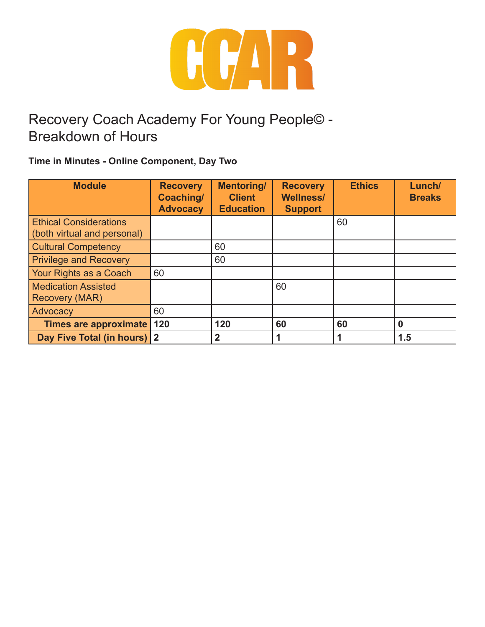

**Time in Minutes - Online Component, Day Two**

| <b>Module</b>                 | <b>Recovery</b><br>Coaching/<br><b>Advocacy</b> | <b>Mentoring/</b><br><b>Client</b><br><b>Education</b> | <b>Recovery</b><br><b>Wellness/</b><br><b>Support</b> | <b>Ethics</b> | Lunch/<br><b>Breaks</b> |
|-------------------------------|-------------------------------------------------|--------------------------------------------------------|-------------------------------------------------------|---------------|-------------------------|
| <b>Ethical Considerations</b> |                                                 |                                                        |                                                       | 60            |                         |
| (both virtual and personal)   |                                                 |                                                        |                                                       |               |                         |
| <b>Cultural Competency</b>    |                                                 | 60                                                     |                                                       |               |                         |
| <b>Privilege and Recovery</b> |                                                 | 60                                                     |                                                       |               |                         |
| Your Rights as a Coach        | 60                                              |                                                        |                                                       |               |                         |
| <b>Medication Assisted</b>    |                                                 |                                                        | 60                                                    |               |                         |
| <b>Recovery (MAR)</b>         |                                                 |                                                        |                                                       |               |                         |
| Advocacy                      | 60                                              |                                                        |                                                       |               |                         |
| Times are approximate         | 120                                             | 120                                                    | 60                                                    | 60            | $\bf{0}$                |
| Day Five Total (in hours) 2   |                                                 | $\overline{2}$                                         |                                                       |               | 1.5                     |